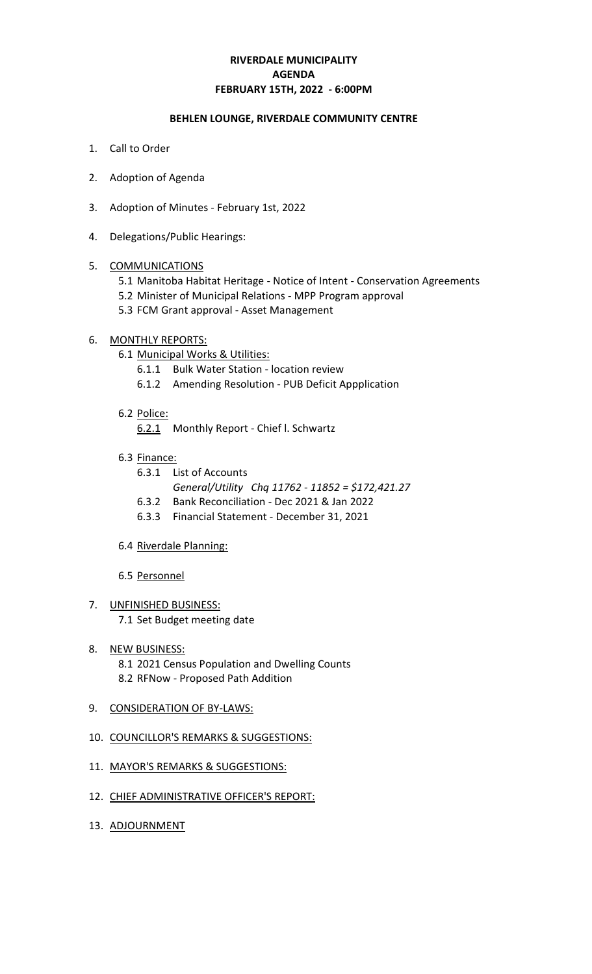# **RIVERDALE MUNICIPALITY FEBRUARY 15TH, 2022 - 6:00PM AGENDA**

#### **BEHLEN LOUNGE, RIVERDALE COMMUNITY CENTRE**

- 1. Call to Order
- 2. Adoption of Agenda
- 3. Adoption of Minutes February 1st, 2022
- 4. Delegations/Public Hearings:

#### 5. COMMUNICATIONS

- 5.1 Manitoba Habitat Heritage Notice of Intent Conservation Agreements
- 5.2 Minister of Municipal Relations MPP Program approval
- 5.3 FCM Grant approval Asset Management

#### 6. MONTHLY REPORTS:

- 6.1 Municipal Works & Utilities:
	- 6.1.1 Bulk Water Station location review
	- 6.1.2 Amending Resolution PUB Deficit Appplication
- 6.2 Police:

6.2.1 Monthly Report - Chief l. Schwartz

- 6.3 Finance:
	- 6.3.1 List of Accounts
		- *General/Utility Chq 11762 11852 = \$172,421.27*
	- 6.3.2 Bank Reconciliation Dec 2021 & Jan 2022
	- 6.3.3 Financial Statement December 31, 2021
- 6.4 Riverdale Planning:
- 6.5 Personnel
- 7. UNFINISHED BUSINESS:
	- 7.1 Set Budget meeting date
- 8. NEW BUSINESS: 8.1 2021 Census Population and Dwelling Counts 8.2 RFNow - Proposed Path Addition
- 9. CONSIDERATION OF BY-LAWS:
- 10. COUNCILLOR'S REMARKS & SUGGESTIONS:
- 11. MAYOR'S REMARKS & SUGGESTIONS:
- 12. CHIEF ADMINISTRATIVE OFFICER'S REPORT:
- 13. ADJOURNMENT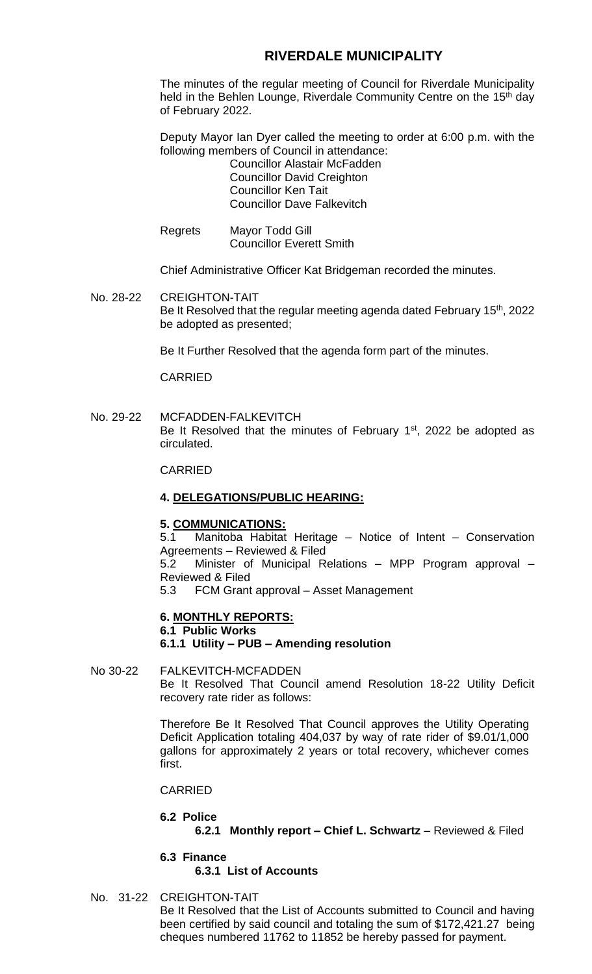# **RIVERDALE MUNICIPALITY**

The minutes of the regular meeting of Council for Riverdale Municipality held in the Behlen Lounge, Riverdale Community Centre on the 15<sup>th</sup> day of February 2022.

Deputy Mayor Ian Dyer called the meeting to order at 6:00 p.m. with the following members of Council in attendance:

Councillor Alastair McFadden Councillor David Creighton Councillor Ken Tait Councillor Dave Falkevitch

Regrets Mayor Todd Gill Councillor Everett Smith

Chief Administrative Officer Kat Bridgeman recorded the minutes.

No. 28-22 CREIGHTON-TAIT Be It Resolved that the regular meeting agenda dated February 15<sup>th</sup>, 2022 be adopted as presented;

Be It Further Resolved that the agenda form part of the minutes.

CARRIED

#### No. 29-22 MCFADDEN-FALKEVITCH Be It Resolved that the minutes of February  $1<sup>st</sup>$ , 2022 be adopted as circulated.

CARRIED

#### **4. DELEGATIONS/PUBLIC HEARING:**

#### **5. COMMUNICATIONS:**

5.1 Manitoba Habitat Heritage – Notice of Intent – Conservation Agreements – Reviewed & Filed

5.2 Minister of Municipal Relations – MPP Program approval – Reviewed & Filed

5.3 FCM Grant approval – Asset Management

#### **6. MONTHLY REPORTS:**

# **6.1 Public Works**

#### **6.1.1 Utility – PUB – Amending resolution**

# No 30-22 FALKEVITCH-MCFADDEN Be It Resolved That Council amend Resolution 18-22 Utility Deficit recovery rate rider as follows:

Therefore Be It Resolved That Council approves the Utility Operating Deficit Application totaling 404,037 by way of rate rider of \$9.01/1,000 gallons for approximately 2 years or total recovery, whichever comes first.

#### CARRIED

#### **6.2 Police**

**6.2.1 Monthly report – Chief L. Schwartz** – Reviewed & Filed

**6.3 Finance 6.3.1 List of Accounts**

No. 31-22 CREIGHTON-TAIT Be It Resolved that the List of Accounts submitted to Council and having been certified by said council and totaling the sum of \$172,421.27 being cheques numbered 11762 to 11852 be hereby passed for payment.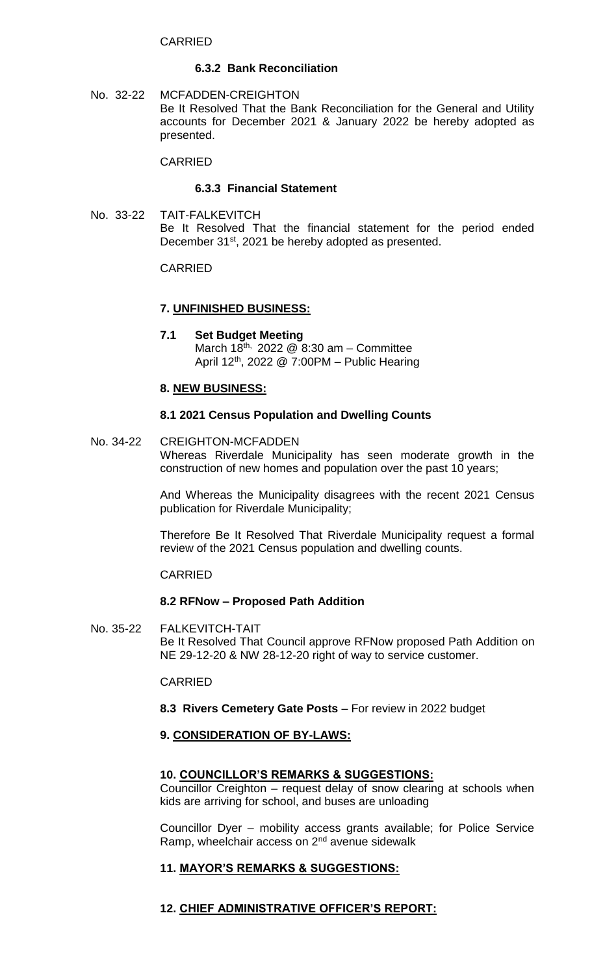#### CARRIED

#### **6.3.2 Bank Reconciliation**

No. 32-22 MCFADDEN-CREIGHTON Be It Resolved That the Bank Reconciliation for the General and Utility accounts for December 2021 & January 2022 be hereby adopted as presented.

CARRIED

#### **6.3.3 Financial Statement**

No. 33-22 TAIT-FALKEVITCH Be It Resolved That the financial statement for the period ended December 31<sup>st</sup>, 2021 be hereby adopted as presented.

#### CARRIED

#### **7. UNFINISHED BUSINESS:**

**7.1 Set Budget Meeting** March  $18^{th}$ , 2022 @ 8:30 am – Committee April 12th, 2022 @ 7:00PM – Public Hearing

#### **8. NEW BUSINESS:**

#### **8.1 2021 Census Population and Dwelling Counts**

No. 34-22 CREIGHTON-MCFADDEN Whereas Riverdale Municipality has seen moderate growth in the construction of new homes and population over the past 10 years;

> And Whereas the Municipality disagrees with the recent 2021 Census publication for Riverdale Municipality;

> Therefore Be It Resolved That Riverdale Municipality request a formal review of the 2021 Census population and dwelling counts.

#### CARRIED

#### **8.2 RFNow – Proposed Path Addition**

No. 35-22 FALKEVITCH-TAIT Be It Resolved That Council approve RFNow proposed Path Addition on NE 29-12-20 & NW 28-12-20 right of way to service customer.

# CARRIED

**8.3 Rivers Cemetery Gate Posts** – For review in 2022 budget

# **9. CONSIDERATION OF BY-LAWS:**

# **10. COUNCILLOR'S REMARKS & SUGGESTIONS:**

Councillor Creighton – request delay of snow clearing at schools when kids are arriving for school, and buses are unloading

Councillor Dyer – mobility access grants available; for Police Service Ramp, wheelchair access on 2<sup>nd</sup> avenue sidewalk

# **11. MAYOR'S REMARKS & SUGGESTIONS:**

# **12. CHIEF ADMINISTRATIVE OFFICER'S REPORT:**